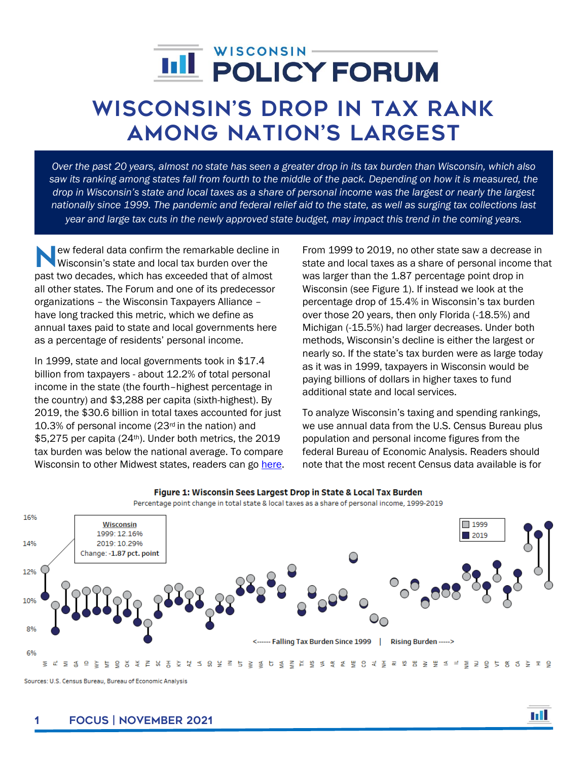## WISCONSIN-**IIII POLICY FORUM**

# Wisconsin's drop in tax rank among Nation's Largest

*Over the past 20 years, almost no state has seen a greater drop in its tax burden than Wisconsin, which also saw its ranking among states fall from fourth to the middle of the pack. Depending on how it is measured, the drop in Wisconsin's state and local taxes as a share of personal income was the largest or nearly the largest nationally since 1999. The pandemic and federal relief aid to the state, as well as surging tax collections last year and large tax cuts in the newly approved state budget, may impact this trend in the coming years.*

ew federal data confirm the remarkable decline in Wisconsin's state and local tax burden over the ew federal data confirm the remarkable decline is<br>Wisconsin's state and local tax burden over the<br>past two decades, which has exceeded that of almost all other states. The Forum and one of its predecessor organizations – the Wisconsin Taxpayers Alliance – have long tracked this metric, which we define as annual taxes paid to state and local governments here as a percentage of residents' personal income.

In 1999, state and local governments took in \$17.4 billion from taxpayers - about 12.2% of total personal income in the state (the fourth–highest percentage in the country) and \$3,288 per capita (sixth-highest). By 2019, the \$30.6 billion in total taxes accounted for just 10.3% of personal income (23rd in the nation) and \$5,275 per capita (24<sup>th</sup>). Under both metrics, the 2019 tax burden was below the national average. To compare Wisconsin to other Midwest states, readers can go [here.](https://wispolicyforum.org/midwest-tax-comparison/) From 1999 to 2019, no other state saw a decrease in state and local taxes as a share of personal income that was larger than the 1.87 percentage point drop in Wisconsin (see Figure 1). If instead we look at the percentage drop of 15.4% in Wisconsin's tax burden over those 20 years, then only Florida (-18.5%) and Michigan (-15.5%) had larger decreases. Under both methods, Wisconsin's decline is either the largest or nearly so. If the state's tax burden were as large today as it was in 1999, taxpayers in Wisconsin would be paying billions of dollars in higher taxes to fund additional state and local services.

To analyze Wisconsin's taxing and spending rankings, we use annual data from the U.S. Census Bureau plus population and personal income figures from the federal Bureau of Economic Analysis. Readers should note that the most recent Census data available is for



Figure 1: Wisconsin Sees Largest Drop in State & Local Tax Burden

Percentage point change in total state & local taxes as a share of personal income, 1999-2019

Sources: U.S. Census Bureau, Bureau of Economic Analysis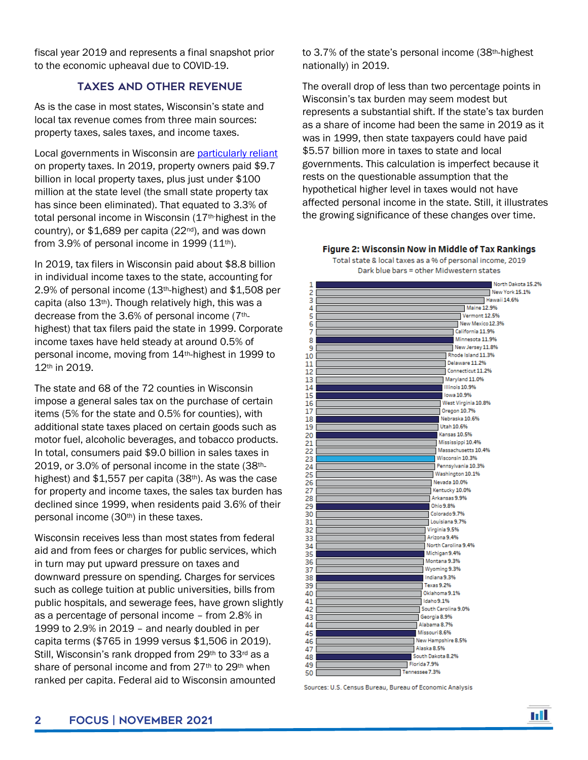fiscal year 2019 and represents a final snapshot prior to the economic upheaval due to COVID-19.

## Taxes and Other Revenue

As is the case in most states, Wisconsin's state and local tax revenue comes from three main sources: property taxes, sales taxes, and income taxes.

Local governments in Wisconsin are [particularly reliant](https://wispolicyforum.org/research/dollars-and-sense-is-it-time-for-a-new-municipal-financing-framework-in-wisconsin/) on property taxes. In 2019, property owners paid \$9.7 billion in local property taxes, plus just under \$100 million at the state level (the small state property tax has since been eliminated). That equated to 3.3% of total personal income in Wisconsin (17th-highest in the country), or  $$1,689$  per capita ( $22<sup>nd</sup>$ ), and was down from  $3.9\%$  of personal income in 1999 (11<sup>th</sup>).

In 2019, tax filers in Wisconsin paid about \$8.8 billion in individual income taxes to the state, accounting for 2.9% of personal income (13th-highest) and \$1,508 per capita (also 13th). Though relatively high, this was a decrease from the 3.6% of personal income (7thhighest) that tax filers paid the state in 1999. Corporate income taxes have held steady at around 0.5% of personal income, moving from 14th-highest in 1999 to 12th in 2019.

The state and 68 of the 72 counties in Wisconsin impose a general sales tax on the purchase of certain items (5% for the state and 0.5% for counties), with additional state taxes placed on certain goods such as motor fuel, alcoholic beverages, and tobacco products. In total, consumers paid \$9.0 billion in sales taxes in 2019, or 3.0% of personal income in the state (38thhighest) and  $$1,557$  per capita (38<sup>th</sup>). As was the case for property and income taxes, the sales tax burden has declined since 1999, when residents paid 3.6% of their personal income (30<sup>th</sup>) in these taxes.

Wisconsin receives less than most states from federal aid and from fees or charges for public services, which in turn may put upward pressure on taxes and downward pressure on spending. Charges for services such as college tuition at public universities, bills from public hospitals, and sewerage fees, have grown slightly as a percentage of personal income – from 2.8% in 1999 to 2.9% in 2019 – and nearly doubled in per capita terms (\$765 in 1999 versus \$1,506 in 2019). Still, Wisconsin's rank dropped from 29th to 33rd as a share of personal income and from 27<sup>th</sup> to 29<sup>th</sup> when ranked per capita. Federal aid to Wisconsin amounted

to 3.7% of the state's personal income (38th-highest nationally) in 2019.

The overall drop of less than two percentage points in Wisconsin's tax burden may seem modest but represents a substantial shift. If the state's tax burden as a share of income had been the same in 2019 as it was in 1999, then state taxpayers could have paid \$5.57 billion more in taxes to state and local governments. This calculation is imperfect because it rests on the questionable assumption that the hypothetical higher level in taxes would not have affected personal income in the state. Still, it illustrates the growing significance of these changes over time.

#### Figure 2: Wisconsin Now in Middle of Tax Rankings

Total state & local taxes as a % of personal income, 2019 Dark blue bars = other Midwestern states



Sources: U.S. Census Bureau, Bureau of Economic Analysis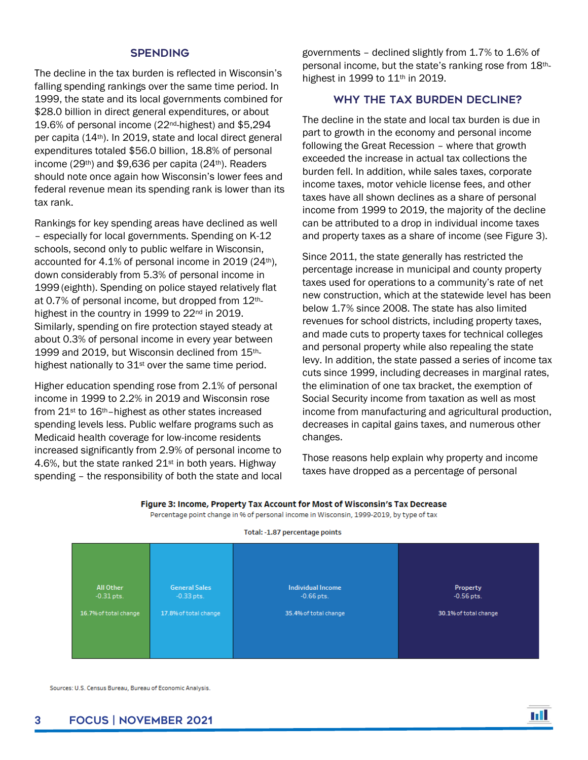## **SPENDING**

The decline in the tax burden is reflected in Wisconsin's falling spending rankings over the same time period. In 1999, the state and its local governments combined for \$28.0 billion in direct general expenditures, or about 19.6% of personal income (22nd-highest) and \$5,294 per capita (14th). In 2019, state and local direct general expenditures totaled \$56.0 billion, 18.8% of personal income (29<sup>th</sup>) and \$9,636 per capita (24<sup>th</sup>). Readers should note once again how Wisconsin's lower fees and federal revenue mean its spending rank is lower than its tax rank.

Rankings for key spending areas have declined as well – especially for local governments. Spending on K-12 schools, second only to public welfare in Wisconsin, accounted for 4.1% of personal income in 2019 (24<sup>th</sup>), down considerably from 5.3% of personal income in 1999 (eighth). Spending on police stayed relatively flat at 0.7% of personal income, but dropped from 12thhighest in the country in 1999 to 22<sup>nd</sup> in 2019. Similarly, spending on fire protection stayed steady at about 0.3% of personal income in every year between 1999 and 2019, but Wisconsin declined from 15thhighest nationally to 31<sup>st</sup> over the same time period.

Higher education spending rose from 2.1% of personal income in 1999 to 2.2% in 2019 and Wisconsin rose from 21st to 16th–highest as other states increased spending levels less. Public welfare programs such as Medicaid health coverage for low-income residents increased significantly from 2.9% of personal income to 4.6%, but the state ranked  $21<sup>st</sup>$  in both years. Highway spending – the responsibility of both the state and local governments – declined slightly from 1.7% to 1.6% of personal income, but the state's ranking rose from 18thhighest in 1999 to 11th in 2019.

## Why the Tax Burden Decline?

The decline in the state and local tax burden is due in part to growth in the economy and personal income following the Great Recession – where that growth exceeded the increase in actual tax collections the burden fell. In addition, while sales taxes, corporate income taxes, motor vehicle license fees, and other taxes have all shown declines as a share of personal income from 1999 to 2019, the majority of the decline can be attributed to a drop in individual income taxes and property taxes as a share of income (see Figure 3).

Since 2011, the state generally has restricted the percentage increase in municipal and county property taxes used for operations to a community's rate of net new construction, which at the statewide level has been below 1.7% since 2008. The state has also limited revenues for school districts, including property taxes, and made cuts to property taxes for technical colleges and personal property while also repealing the state levy. In addition, the state passed a series of income tax cuts since 1999, including decreases in marginal rates, the elimination of one tax bracket, the exemption of Social Security income from taxation as well as most income from manufacturing and agricultural production, decreases in capital gains taxes, and numerous other changes.

Those reasons help explain why property and income taxes have dropped as a percentage of personal

n a T



Figure 3: Income, Property Tax Account for Most of Wisconsin's Tax Decrease

Percentage point change in % of personal income in Wisconsin, 1999-2019, by type of tax

Total: -1.87 percentage points

Sources: U.S. Census Bureau, Bureau of Economic Analysis.